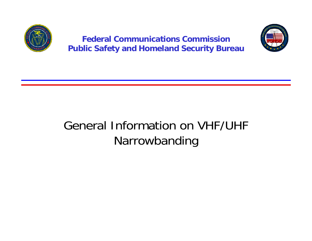

**Federal Communications CommissionPublic Safety and Homeland Security Bureau**



#### General Information on VHF/UHF Narrowbanding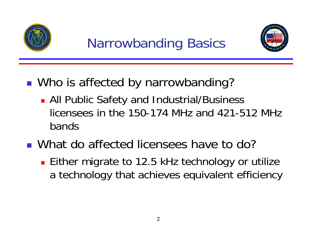

# Narrowbanding Basics



- ■ Who is affected by narrowbanding?
	- **All Public Safety and Industrial/Business** licensees in the 150-174 MHz and 421-512 MHz bands

#### ■ What do affected licensees have to do?

**Either migrate to 12.5 kHz technology or utilize** a technology that achieves equivalent efficiency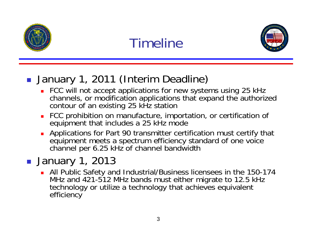

# Timeline



#### **January 1, 2011 (Interim Deadline)**

- FCC will not accept applications for new systems using 25 kHz channels, or modification applications that expand the authorized contour of an existing 25 kHz station
- Ξ FCC prohibition on manufacture, importation, or certification of equipment that includes a 25 kHz mode
- П Applications for Part 90 transmitter certification must certify that equipment meets a spectrum efficiency standard of one voice channel per 6.25 kHz of channel bandwidth

#### ■ January 1, 2013

 All Public Safety and Industrial/Business licensees in the 150-174 MHz and 421-512 MHz bands must either migrate to 12.5 kHz technology or utilize a technology that achieves equivalent efficiency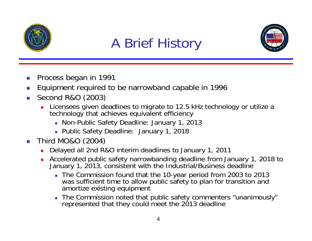

# A Brief History



- Process began in 1991
- П Equipment required to be narrowband capable in 1996
- $\mathcal{L}_{\mathcal{A}}$  Second R&O (2003)
	- П Licensees given deadlines to migrate to 12.5 kHz technology or utilize a technology that achieves equivalent efficiency
		- Non-Public Safety Deadline: January 1, 2013
		- Public Safety Deadline: January 1, 2018
- Third MO&O (2004)
	- $\blacksquare$ Delayed all 2nd R&O interim deadlines to January 1, 2011
	- $\blacksquare$  Accelerated public safety narrowbanding deadline from January 1, 2018 to January 1, 2013, consistent with the Industrial/Business deadline
		- The Commission found that the 10-year period from 2003 to 2013 was sufficient time to allow public safety to plan for transition and amortize existing equipment
		- The Commission noted that public safety commenters "unanimously" represented that they could meet the 2013 deadline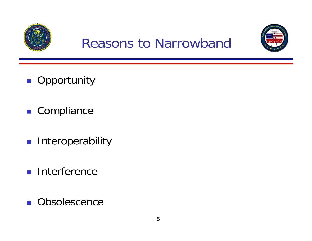

#### Reasons to Narrowband



- **Opportunity**
- Compliance
- **Interoperability**
- **Interference**
- $\mathcal{O}(\mathcal{O})$ **Obsolescence**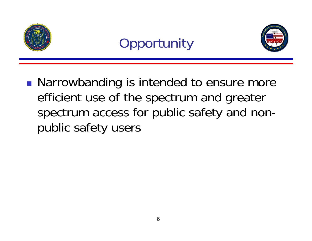

# **Opportunity**



**Narrowbanding is intended to ensure more** efficient use of the spectrum and greater spectrum access for public safety and nonpublic safety users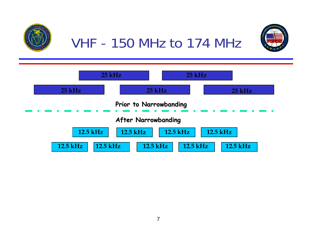

VHF - 150 MHz to 174 MHz



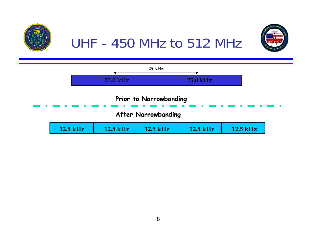

UHF - 450 MHz to 512 MHz



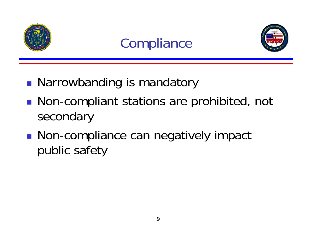

# **Compliance**



- **• Narrowbanding is mandatory**
- **Non-compliant stations are prohibited, not** secondary
- ■ Non-compliance can negatively impact public safety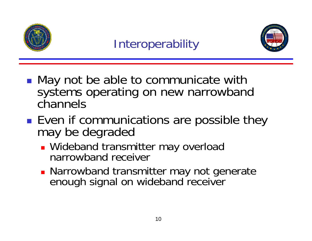

#### **Interoperability**



- ■ May not be able to communicate with systems operating on new narrowband channels
- **Service Service** ■ Even if communications are possible they may be degraded
	- **Wideband transmitter may overload** narrowband receiver
	- **Narrowband transmitter may not generate** enough signal on wideband receiver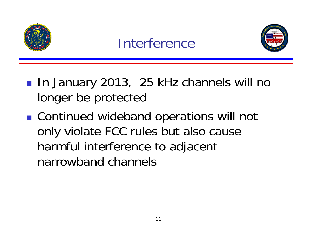

#### Interference



- ■ In January 2013, 25 kHz channels will no longer be protected
- ■ Continued wideband operations will not only violate FCC rules but also cause harmful interference to adjacent narrowband channels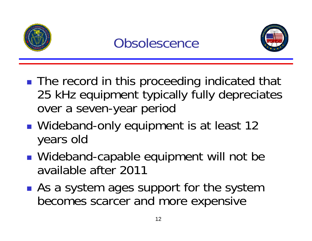

#### **Obsolescence**



- The record in this proceeding indicated that 25 kHz equipment typically fully depreciates over a seven-year period
- ■ Wideband-only equipment is at least 12 years old
- ■ Wideband-capable equipment will not be available after 2011
- **Service Service As a system ages support for the system** becomes scarcer and more expensive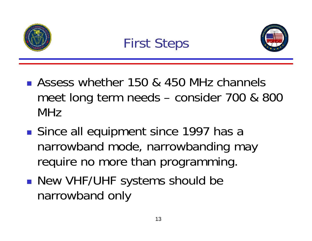

#### First Steps



- **Assess whether 150 & 450 MHz channels** meet long term needs – consider 700 & 800 MHz
- **Service Service** ■ Since all equipment since 1997 has a narrowband mode, narrowbanding may require no more than programming.
- New VHF/UHF systems should be narrowband only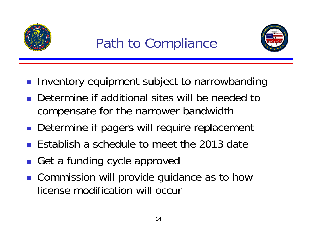

# Path to Compliance



- **Inventory equipment subject to narrowbanding**
- П Determine if additional sites will be needed to compensate for the narrower bandwidth
- **Determine if pagers will require replacement**
- H Establish a schedule to meet the 2013 date
- H Get a funding cycle approved
- **Commission will provide guidance as to how** license modification will occur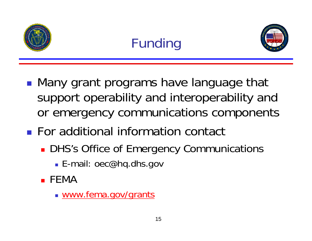

# Funding



- **• Many grant programs have language that** support operability and interoperability and or emergency communications components
- **For additional information contact** 
	- **DHS's Office of Emergency Communications** 
		- E-mail: oec@hq.dhs.gov
	- FEMA
		- www.fema.gov/grants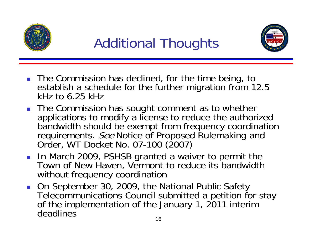

# Additional Thoughts



- **The Commission has declined, for the time being, to** establish a schedule for the further migration from 12.5 kHz to 6.25 kHz
- The Commission has sought comment as to whether applications to modify a license to reduce the authorized bandwidth should be exempt from frequency coordination requirements. See Notice of Proposed Rulemaking and Order, WT Docket No. 07-100 (2007)
- **In March 2009, PSHSB granted a waiver to permit the** Town of New Haven, Vermont to reduce its bandwidth without frequency coordination
- On September 30, 2009, the National Public Safety Telecommunications Council submitted a petition for stay of the implementation of the January 1, 2011 interim deadlines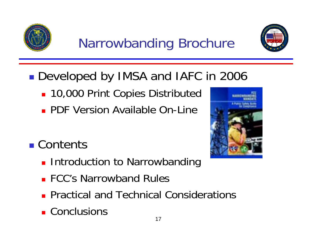

# Narrowbanding Brochure



#### ■ Developed by IMSA and IAFC in 2006

- **10,000 Print Copies Distributed**
- **PDF Version Available On-Line**
- Contents
	- **Introduction to Narrowbanding**
	- **FCC's Narrowband Rules**
	- **Practical and Technical Considerations**
	- **Conclusions**

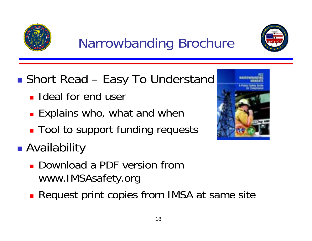





- **Service Service** ■ Short Read – Easy To Understand
	- **I** Ideal for end user
	- **Explains who, what and when**
	- **Tool to support funding requests**
- **Service Service**  Availability
	- Download a PDF version from www.IMSAsafety.org
	- **Request print copies from IMSA at same site**